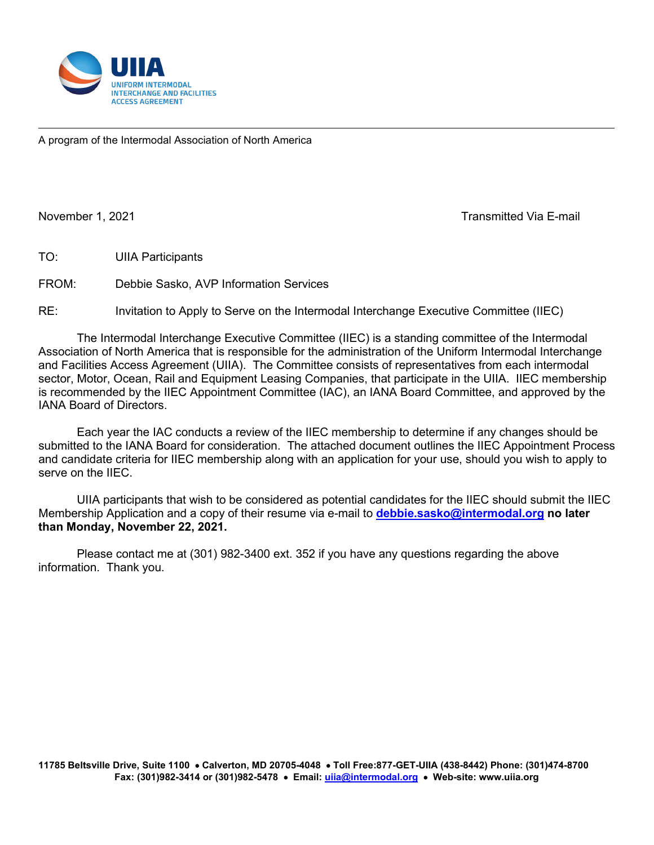

A program of the Intermodal Association of North America

֬֘֒

November 1, 2021 Transmitted Via E-mail

TO: UIIA Participants

FROM: Debbie Sasko, AVP Information Services

RE: Invitation to Apply to Serve on the Intermodal Interchange Executive Committee (IIEC)

The Intermodal Interchange Executive Committee (IIEC) is a standing committee of the Intermodal Association of North America that is responsible for the administration of the Uniform Intermodal Interchange and Facilities Access Agreement (UIIA). The Committee consists of representatives from each intermodal sector, Motor, Ocean, Rail and Equipment Leasing Companies, that participate in the UIIA. IIEC membership is recommended by the IIEC Appointment Committee (IAC), an IANA Board Committee, and approved by the IANA Board of Directors.

Each year the IAC conducts a review of the IIEC membership to determine if any changes should be submitted to the IANA Board for consideration. The attached document outlines the IIEC Appointment Process and candidate criteria for IIEC membership along with an application for your use, should you wish to apply to serve on the IIEC.

UIIA participants that wish to be considered as potential candidates for the IIEC should submit the IIEC Membership Application and a copy of their resume via e-mail to **[debbie.sasko@intermodal.org](mailto:debbie.sasko@intermodal.org) no later than Monday, November 22, 2021.**

Please contact me at (301) 982-3400 ext. 352 if you have any questions regarding the above information. Thank you.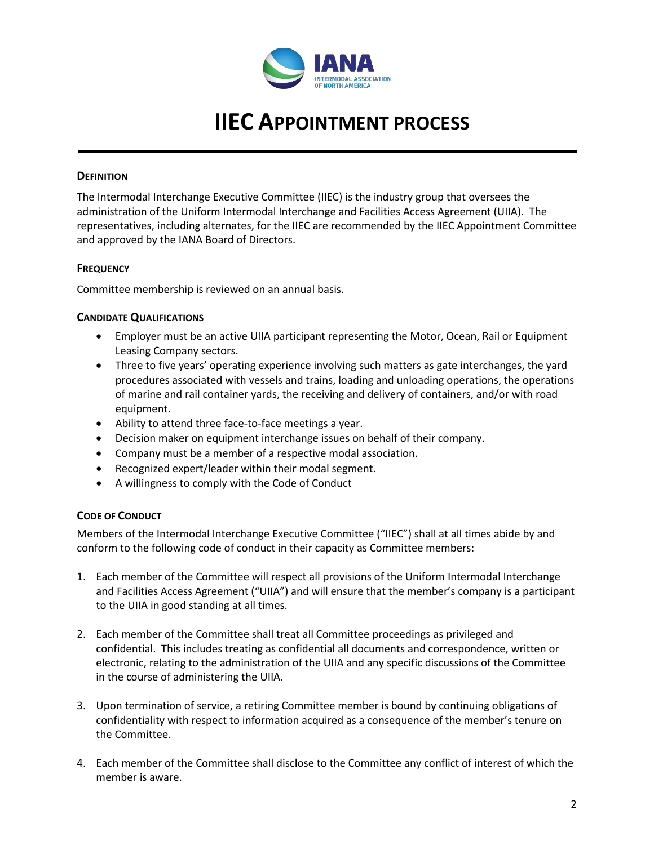

# **IIEC APPOINTMENT PROCESS**

#### **DEFINITION**

The Intermodal Interchange Executive Committee (IIEC) is the industry group that oversees the administration of the Uniform Intermodal Interchange and Facilities Access Agreement (UIIA). The representatives, including alternates, for the IIEC are recommended by the IIEC Appointment Committee and approved by the IANA Board of Directors.

#### **FREQUENCY**

Committee membership is reviewed on an annual basis.

#### **CANDIDATE QUALIFICATIONS**

- Employer must be an active UIIA participant representing the Motor, Ocean, Rail or Equipment Leasing Company sectors.
- Three to five years' operating experience involving such matters as gate interchanges, the yard procedures associated with vessels and trains, loading and unloading operations, the operations of marine and rail container yards, the receiving and delivery of containers, and/or with road equipment.
- Ability to attend three face-to-face meetings a year.
- Decision maker on equipment interchange issues on behalf of their company.
- Company must be a member of a respective modal association.
- Recognized expert/leader within their modal segment.
- A willingness to comply with the Code of Conduct

## **CODE OF CONDUCT**

Members of the Intermodal Interchange Executive Committee ("IIEC") shall at all times abide by and conform to the following code of conduct in their capacity as Committee members:

- 1. Each member of the Committee will respect all provisions of the Uniform Intermodal Interchange and Facilities Access Agreement ("UIIA") and will ensure that the member's company is a participant to the UIIA in good standing at all times.
- 2. Each member of the Committee shall treat all Committee proceedings as privileged and confidential. This includes treating as confidential all documents and correspondence, written or electronic, relating to the administration of the UIIA and any specific discussions of the Committee in the course of administering the UIIA.
- 3. Upon termination of service, a retiring Committee member is bound by continuing obligations of confidentiality with respect to information acquired as a consequence of the member's tenure on the Committee.
- 4. Each member of the Committee shall disclose to the Committee any conflict of interest of which the member is aware.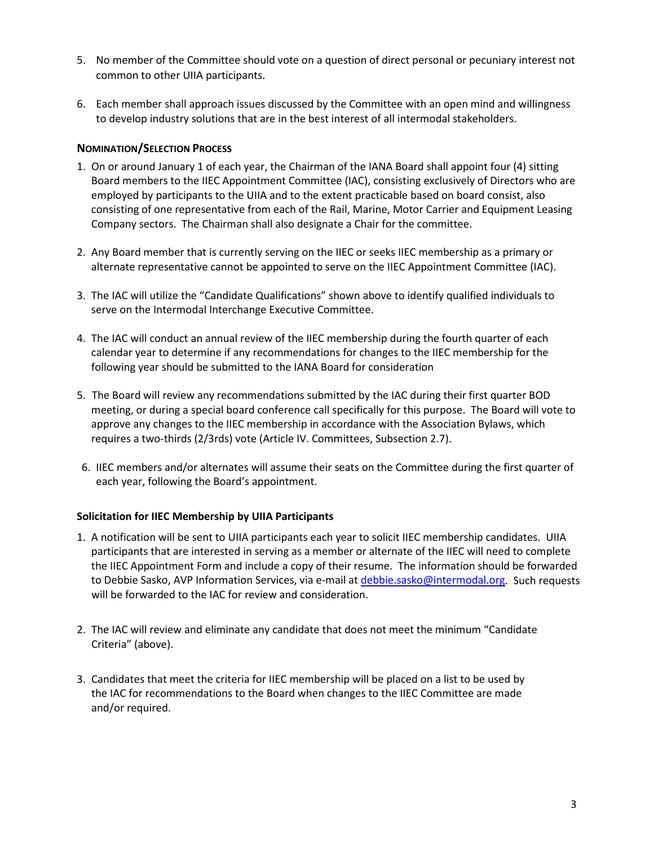- 5. No member of the Committee should vote on a question of direct personal or pecuniary interest not common to other UIIA participants.
- 6. Each member shall approach issues discussed by the Committee with an open mind and willingness to develop industry solutions that are in the best interest of all intermodal stakeholders.

### **NOMINATION/SELECTION PROCESS**

- 1. On or around January 1 of each year, the Chairman of the IANA Board shall appoint four (4) sitting Board members to the IIEC Appointment Committee (IAC), consisting exclusively of Directors who are employed by participants to the UIIA and to the extent practicable based on board consist, also consisting of one representative from each of the Rail, Marine, Motor Carrier and Equipment Leasing Company sectors. The Chairman shall also designate a Chair for the committee.
- 2. Any Board member that is currently serving on the IIEC or seeks IIEC membership as a primary or alternate representative cannot be appointed to serve on the IIEC Appointment Committee (IAC).
- 3. The IAC will utilize the "Candidate Qualifications" shown above to identify qualified individuals to serve on the Intermodal Interchange Executive Committee.
- 4. The IAC will conduct an annual review of the IIEC membership during the fourth quarter of each calendar year to determine if any recommendations for changes to the IIEC membership for the following year should be submitted to the IANA Board for consideration
- 5. The Board will review any recommendations submitted by the IAC during their first quarter BOD meeting, or during a special board conference call specifically for this purpose. The Board will vote to approve any changes to the IIEC membership in accordance with the Association Bylaws, which requires a two-thirds (2/3rds) vote (Article IV. Committees, Subsection 2.7).
- 6. IIEC members and/or alternates will assume their seats on the Committee during the first quarter of each year, following the Board's appointment.

#### **Solicitation for IIEC Membership by UIIA Participants**

- 1. A notification will be sent to UIIA participants each year to solicit IIEC membership candidates. UIIA participants that are interested in serving as a member or alternate of the IIEC will need to complete the IIEC Appointment Form and include a copy of their resume. The information should be forwarded to Debbie Sasko, AVP Information Services, via e-mail a[t debbie.sasko@intermodal.org.](mailto:debbie.sasko@intermodal.org) Such requests will be forwarded to the IAC for review and consideration.
- 2. The IAC will review and eliminate any candidate that does not meet the minimum "Candidate Criteria" (above).
- 3. Candidates that meet the criteria for IIEC membership will be placed on a list to be used by the IAC for recommendations to the Board when changes to the IIEC Committee are made and/or required.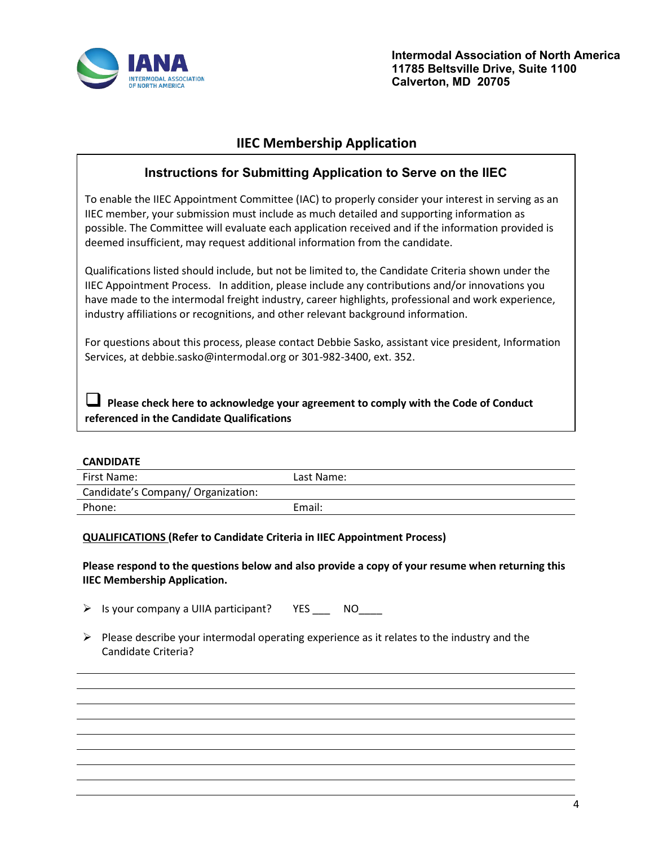

**Intermodal Association of North America 11785 Beltsville Drive, Suite 1100 Calverton, MD 20705**

# **IIEC Membership Application**

# **Instructions for Submitting Application to Serve on the IIEC**

To enable the IIEC Appointment Committee (IAC) to properly consider your interest in serving as an IIEC member, your submission must include as much detailed and supporting information as possible. The Committee will evaluate each application received and if the information provided is deemed insufficient, may request additional information from the candidate.

Qualifications listed should include, but not be limited to, the Candidate Criteria shown under the IIEC Appointment Process. In addition, please include any contributions and/or innovations you have made to the intermodal freight industry, career highlights, professional and work experience, industry affiliations or recognitions, and other relevant background information.

For questions about this process, please contact Debbie Sasko, assistant vice president, Information Services, at debbie.sasko@intermodal.org or 301-982-3400, ext. 352.

 **Please check here to acknowledge your agreement to comply with the Code of Conduct referenced in the Candidate Qualifications**

| <b>CANDIDATE</b>                   |            |
|------------------------------------|------------|
| First Name:                        | Last Name: |
| Candidate's Company/ Organization: |            |
| Phone:                             | Email:     |
|                                    |            |

#### **QUALIFICATIONS (Refer to Candidate Criteria in IIEC Appointment Process)**

#### **Please respond to the questions below and also provide a copy of your resume when returning this IIEC Membership Application.**

 $\triangleright$  Is your company a UIIA participant? YES NO

 $\triangleright$  Please describe your intermodal operating experience as it relates to the industry and the Candidate Criteria?